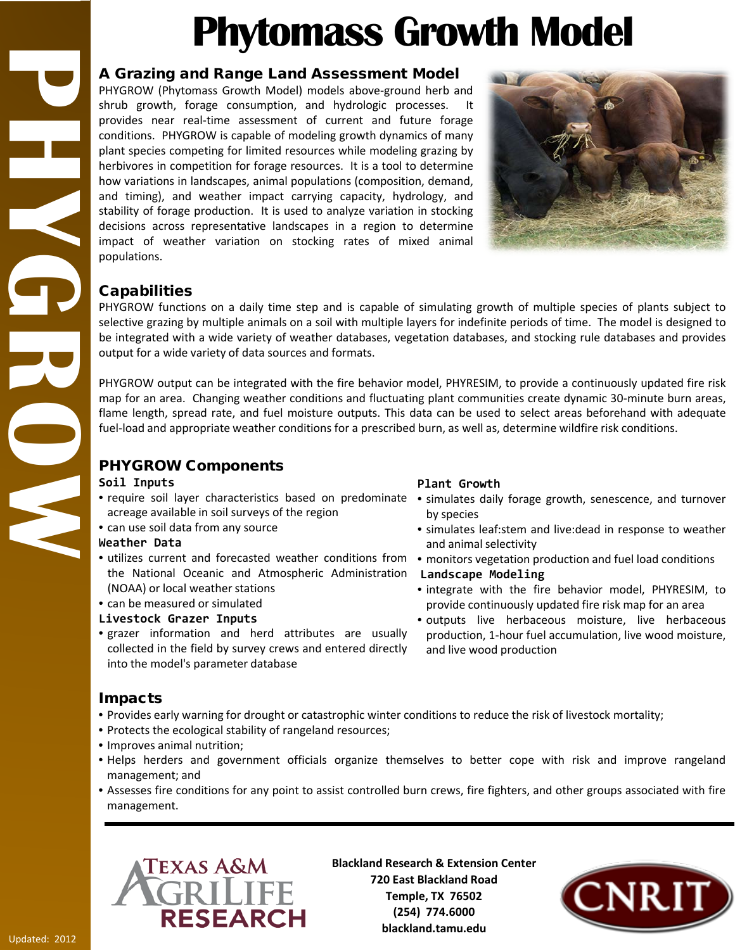# **Phytomass Growth Model**

## A Grazing and Range Land Assessment Model

PHYGROW (Phytomass Growth Model) models above-ground herb and shrub growth, forage consumption, and hydrologic processes. It provides near real-time assessment of current and future forage conditions. PHYGROW is capable of modeling growth dynamics of many plant species competing for limited resources while modeling grazing by herbivores in competition for forage resources. It is a tool to determine how variations in landscapes, animal populations (composition, demand, and timing), and weather impact carrying capacity, hydrology, and stability of forage production. It is used to analyze variation in stocking decisions across representative landscapes in a region to determine impact of weather variation on stocking rates of mixed animal populations.



# Capabilities

**PHYGROW**

NATHER

PHYGROW functions on a daily time step and is capable of simulating growth of multiple species of plants subject to selective grazing by multiple animals on a soil with multiple layers for indefinite periods of time. The model is designed to be integrated with a wide variety of weather databases, vegetation databases, and stocking rule databases and provides output for a wide variety of data sources and formats.

PHYGROW output can be integrated with the fire behavior model, PHYRESIM, to provide a continuously updated fire risk map for an area. Changing weather conditions and fluctuating plant communities create dynamic 30-minute burn areas, flame length, spread rate, and fuel moisture outputs. This data can be used to select areas beforehand with adequate fuel-load and appropriate weather conditions for a prescribed burn, as well as, determine wildfire risk conditions.

# PHYGROW Components

#### **Soil Inputs**

- acreage available in soil surveys of the region
- can use soil data from any source

#### **Weather Data**

- utilizes current and forecasted weather conditions from monitors vegetation production and fuel load conditions the National Oceanic and Atmospheric Administration **Landscape Modeling** (NOAA) or local weather stations
- can be measured or simulated

#### **Livestock Grazer Inputs**

• grazer information and herd attributes are usually collected in the field by survey crews and entered directly into the model's parameter database

# Impacts

- Provides early warning for drought or catastrophic winter conditions to reduce the risk of livestock mortality;
- Protects the ecological stability of rangeland resources;
- Improves animal nutrition;
- Helps herders and government officials organize themselves to better cope with risk and improve rangeland management; and
- Assesses fire conditions for any point to assist controlled burn crews, fire fighters, and other groups associated with fire management.



**Blackland Research & Extension Center 720 East Blackland Road Temple, TX 76502 (254) 774.6000 blackland.tamu.edu**



# **Plant Growth**

- require soil layer characteristics based on predominate simulates daily forage growth, senescence, and turnover by species
	- simulates leaf:stem and live:dead in response to weather and animal selectivity
	-
	- integrate with the fire behavior model, PHYRESIM, to provide continuously updated fire risk map for an area
	- outputs live herbaceous moisture, live herbaceous production, 1-hour fuel accumulation, live wood moisture, and live wood production